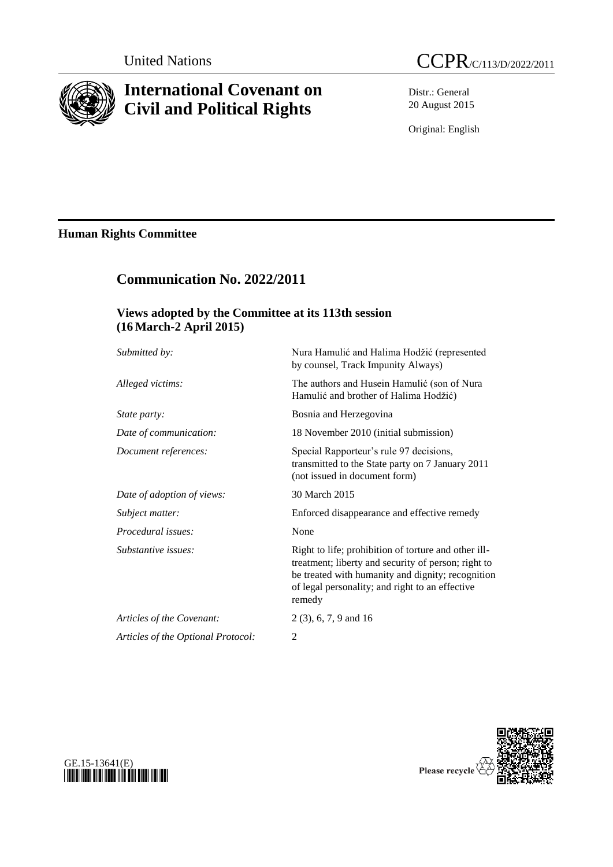

# **International Covenant on Civil and Political Rights**

Distr.: General 20 August 2015

Original: English

# **Human Rights Committee**

| <b>Communication No. 2022/2011</b><br>Views adopted by the Committee at its 113th session<br>$(16 \text{ March-2 April } 2015)$ |                                                                                                                                                                                                                               |
|---------------------------------------------------------------------------------------------------------------------------------|-------------------------------------------------------------------------------------------------------------------------------------------------------------------------------------------------------------------------------|
|                                                                                                                                 |                                                                                                                                                                                                                               |
| Alleged victims:                                                                                                                | The authors and Husein Hamulić (son of Nura<br>Hamulić and brother of Halima Hodžić)                                                                                                                                          |
| State party:                                                                                                                    | Bosnia and Herzegovina                                                                                                                                                                                                        |
| Date of communication:                                                                                                          | 18 November 2010 (initial submission)                                                                                                                                                                                         |
| Document references:                                                                                                            | Special Rapporteur's rule 97 decisions,<br>transmitted to the State party on 7 January 2011<br>(not issued in document form)                                                                                                  |
| Date of adoption of views:                                                                                                      | 30 March 2015                                                                                                                                                                                                                 |
| Subject matter:                                                                                                                 | Enforced disappearance and effective remedy                                                                                                                                                                                   |
| Procedural issues:                                                                                                              | None                                                                                                                                                                                                                          |
| Substantive issues:                                                                                                             | Right to life; prohibition of torture and other ill-<br>treatment; liberty and security of person; right to<br>be treated with humanity and dignity; recognition<br>of legal personality; and right to an effective<br>remedy |
| Articles of the Covenant:                                                                                                       | $2(3)$ , 6, 7, 9 and 16                                                                                                                                                                                                       |
| Articles of the Optional Protocol:                                                                                              | $\overline{2}$                                                                                                                                                                                                                |



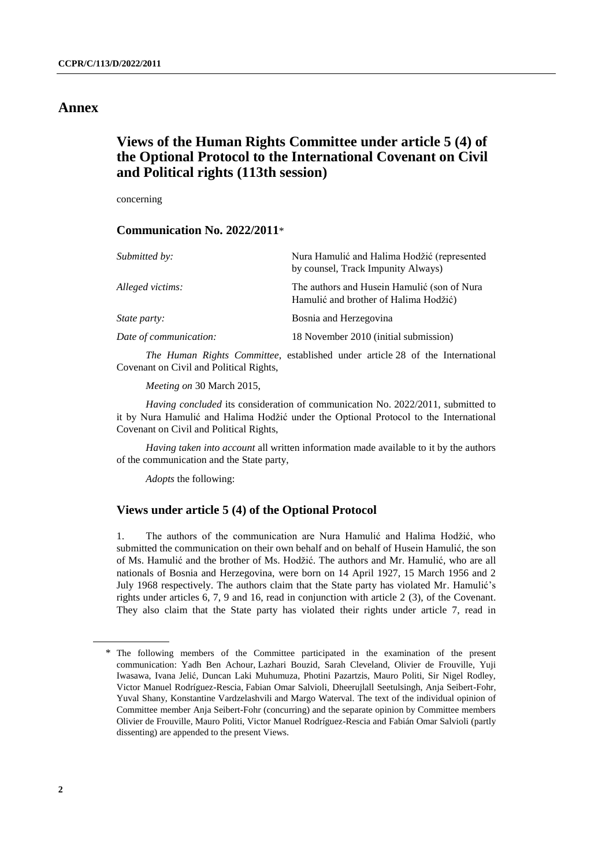### **Annex**

# **Views of the Human Rights Committee under article 5 (4) of the Optional Protocol to the International Covenant on Civil and Political rights (113th session)**

concerning

### **Communication No. 2022/2011**\*

| Submitted by:          | Nura Hamulić and Halima Hodžić (represented<br>by counsel, Track Impunity Always)    |
|------------------------|--------------------------------------------------------------------------------------|
| Alleged victims:       | The authors and Husein Hamulić (son of Nura<br>Hamulić and brother of Halima Hodžić) |
| <i>State party:</i>    | Bosnia and Herzegovina                                                               |
| Date of communication: | 18 November 2010 (initial submission)                                                |

*The Human Rights Committee*, established under article 28 of the International Covenant on Civil and Political Rights,

*Meeting on* 30 March 2015,

*Having concluded* its consideration of communication No. 2022/2011, submitted to it by Nura Hamulić and Halima Hodžić under the Optional Protocol to the International Covenant on Civil and Political Rights,

*Having taken into account* all written information made available to it by the authors of the communication and the State party,

*Adopts* the following:

### **Views under article 5 (4) of the Optional Protocol**

1. The authors of the communication are Nura Hamulić and Halima Hodžić, who submitted the communication on their own behalf and on behalf of Husein Hamulić, the son of Ms. Hamulić and the brother of Ms. Hodžić. The authors and Mr. Hamulić, who are all nationals of Bosnia and Herzegovina, were born on 14 April 1927, 15 March 1956 and 2 July 1968 respectively. The authors claim that the State party has violated Mr. Hamulić's rights under articles 6, 7, 9 and 16, read in conjunction with article 2 (3), of the Covenant. They also claim that the State party has violated their rights under article 7, read in

<sup>\*</sup> The following members of the Committee participated in the examination of the present communication: Yadh Ben Achour, Lazhari Bouzid, Sarah Cleveland, Olivier de Frouville, Yuji Iwasawa, Ivana Jelić, Duncan Laki Muhumuza, Photini Pazartzis, Mauro Politi, Sir Nigel Rodley, Victor Manuel Rodríguez-Rescia, Fabian Omar Salvioli, Dheerujlall Seetulsingh, Anja Seibert-Fohr, Yuval Shany, Konstantine Vardzelashvili and Margo Waterval. The text of the individual opinion of Committee member Anja Seibert-Fohr (concurring) and the separate opinion by Committee members Olivier de Frouville, Mauro Politi, Victor Manuel Rodríguez-Rescia and Fabián Omar Salvioli (partly dissenting) are appended to the present Views.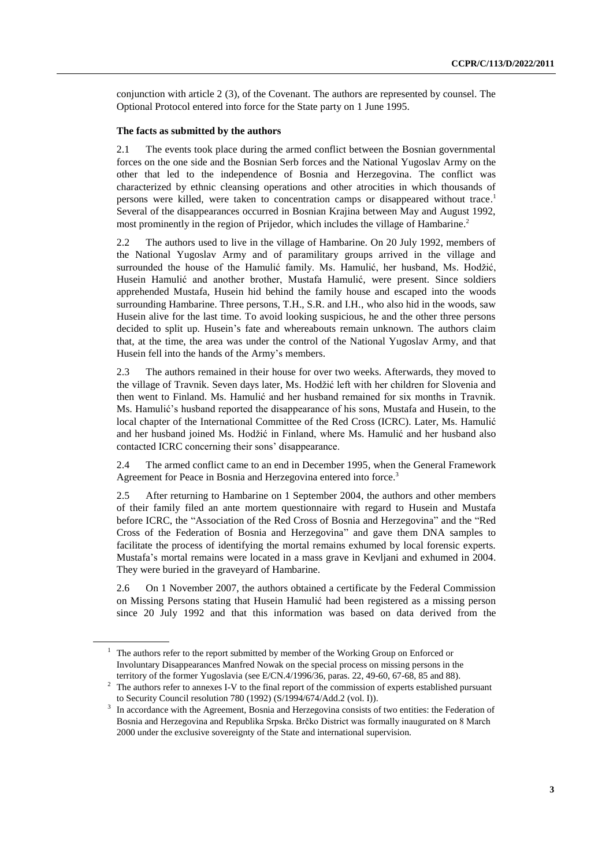conjunction with article 2 (3), of the Covenant. The authors are represented by counsel. The Optional Protocol entered into force for the State party on 1 June 1995.

### **The facts as submitted by the authors**

2.1 The events took place during the armed conflict between the Bosnian governmental forces on the one side and the Bosnian Serb forces and the National Yugoslav Army on the other that led to the independence of Bosnia and Herzegovina. The conflict was characterized by ethnic cleansing operations and other atrocities in which thousands of persons were killed, were taken to concentration camps or disappeared without trace.<sup>1</sup> Several of the disappearances occurred in Bosnian Krajina between May and August 1992, most prominently in the region of Prijedor, which includes the village of Hambarine. 2

<span id="page-2-0"></span>2.2 The authors used to live in the village of Hambarine. On 20 July 1992, members of the National Yugoslav Army and of paramilitary groups arrived in the village and surrounded the house of the Hamulić family. Ms. Hamulić, her husband, Ms. Hodžić, Husein Hamulić and another brother, Mustafa Hamulić, were present. Since soldiers apprehended Mustafa, Husein hid behind the family house and escaped into the woods surrounding Hambarine. Three persons, T.H., S.R. and I.H., who also hid in the woods, saw Husein alive for the last time. To avoid looking suspicious, he and the other three persons decided to split up. Husein's fate and whereabouts remain unknown. The authors claim that, at the time, the area was under the control of the National Yugoslav Army, and that Husein fell into the hands of the Army's members.

2.3 The authors remained in their house for over two weeks. Afterwards, they moved to the village of Travnik. Seven days later, Ms. Hodžić left with her children for Slovenia and then went to Finland. Ms. Hamulić and her husband remained for six months in Travnik. Ms. Hamulić's husband reported the disappearance of his sons, Mustafa and Husein, to the local chapter of the International Committee of the Red Cross (ICRC). Later, Ms. Hamulić and her husband joined Ms. Hodžić in Finland, where Ms. Hamulić and her husband also contacted ICRC concerning their sons' disappearance.

2.4 The armed conflict came to an end in December 1995, when the General Framework Agreement for Peace in Bosnia and Herzegovina entered into force.<sup>3</sup>

2.5 After returning to Hambarine on 1 September 2004, the authors and other members of their family filed an ante mortem questionnaire with regard to Husein and Mustafa before ICRC, the "Association of the Red Cross of Bosnia and Herzegovina" and the "Red Cross of the Federation of Bosnia and Herzegovina" and gave them DNA samples to facilitate the process of identifying the mortal remains exhumed by local forensic experts. Mustafa's mortal remains were located in a mass grave in Kevljani and exhumed in 2004. They were buried in the graveyard of Hambarine.

2.6 On 1 November 2007, the authors obtained a certificate by the Federal Commission on Missing Persons stating that Husein Hamulić had been registered as a missing person since 20 July 1992 and that this information was based on data derived from the

 $1$  The authors refer to the report submitted by member of the Working Group on Enforced or Involuntary Disappearances Manfred Nowak on the special process on missing persons in the territory of the former Yugoslavia (see E/CN.4/1996/36, paras. 22, 49-60, 67-68, 85 and 88).

<sup>&</sup>lt;sup>2</sup> The authors refer to annexes I-V to the final report of the commission of experts established pursuant to Security Council resolution 780 (1992) (S/1994/674/Add.2 (vol. I)).

<sup>3</sup> In accordance with the Agreement, Bosnia and Herzegovina consists of two entities: the Federation of Bosnia and Herzegovina and Republika Srpska. Brčko District was formally inaugurated on 8 March 2000 under the exclusive sovereignty of the State and international supervision.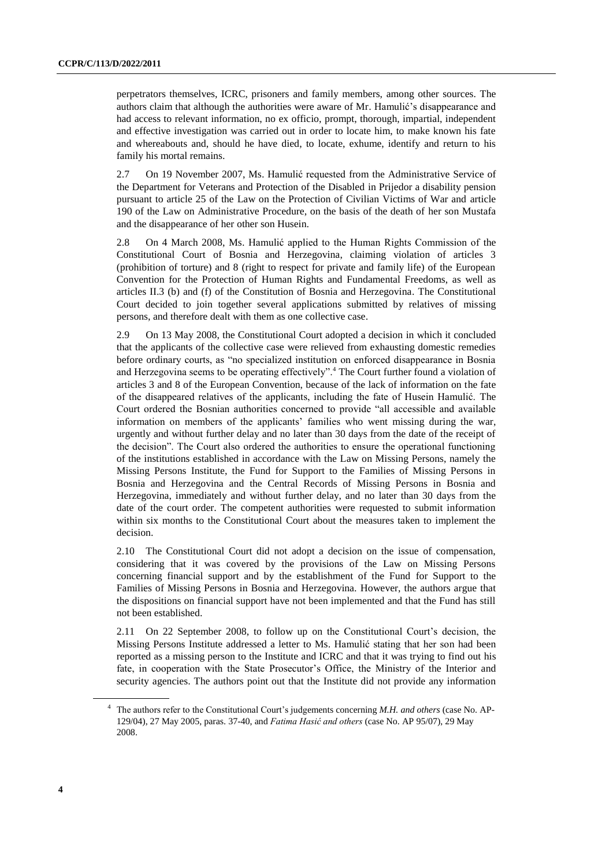perpetrators themselves, ICRC, prisoners and family members, among other sources. The authors claim that although the authorities were aware of Mr. Hamulić's disappearance and had access to relevant information, no ex officio, prompt, thorough, impartial, independent and effective investigation was carried out in order to locate him, to make known his fate and whereabouts and, should he have died, to locate, exhume, identify and return to his family his mortal remains.

2.7 On 19 November 2007, Ms. Hamulić requested from the Administrative Service of the Department for Veterans and Protection of the Disabled in Prijedor a disability pension pursuant to article 25 of the Law on the Protection of Civilian Victims of War and article 190 of the Law on Administrative Procedure, on the basis of the death of her son Mustafa and the disappearance of her other son Husein.

2.8 On 4 March 2008, Ms. Hamulić applied to the Human Rights Commission of the Constitutional Court of Bosnia and Herzegovina, claiming violation of articles 3 (prohibition of torture) and 8 (right to respect for private and family life) of the European Convention for the Protection of Human Rights and Fundamental Freedoms, as well as articles II.3 (b) and (f) of the Constitution of Bosnia and Herzegovina. The Constitutional Court decided to join together several applications submitted by relatives of missing persons, and therefore dealt with them as one collective case.

<span id="page-3-0"></span>2.9 On 13 May 2008, the Constitutional Court adopted a decision in which it concluded that the applicants of the collective case were relieved from exhausting domestic remedies before ordinary courts, as "no specialized institution on enforced disappearance in Bosnia and Herzegovina seems to be operating effectively".<sup>4</sup> The Court further found a violation of articles 3 and 8 of the European Convention, because of the lack of information on the fate of the disappeared relatives of the applicants, including the fate of Husein Hamulić. The Court ordered the Bosnian authorities concerned to provide "all accessible and available information on members of the applicants' families who went missing during the war, urgently and without further delay and no later than 30 days from the date of the receipt of the decision". The Court also ordered the authorities to ensure the operational functioning of the institutions established in accordance with the Law on Missing Persons, namely the Missing Persons Institute, the Fund for Support to the Families of Missing Persons in Bosnia and Herzegovina and the Central Records of Missing Persons in Bosnia and Herzegovina, immediately and without further delay, and no later than 30 days from the date of the court order. The competent authorities were requested to submit information within six months to the Constitutional Court about the measures taken to implement the decision.

2.10 The Constitutional Court did not adopt a decision on the issue of compensation, considering that it was covered by the provisions of the Law on Missing Persons concerning financial support and by the establishment of the Fund for Support to the Families of Missing Persons in Bosnia and Herzegovina. However, the authors argue that the dispositions on financial support have not been implemented and that the Fund has still not been established.

2.11 On 22 September 2008, to follow up on the Constitutional Court's decision, the Missing Persons Institute addressed a letter to Ms. Hamulić stating that her son had been reported as a missing person to the Institute and ICRC and that it was trying to find out his fate, in cooperation with the State Prosecutor's Office, the Ministry of the Interior and security agencies. The authors point out that the Institute did not provide any information

<sup>4</sup> The authors refer to the Constitutional Court's judgements concerning *M.H. and others* (case No. AP-129/04), 27 May 2005, paras. 37-40, and *Fatima Hasić and others* (case No. AP 95/07), 29 May 2008.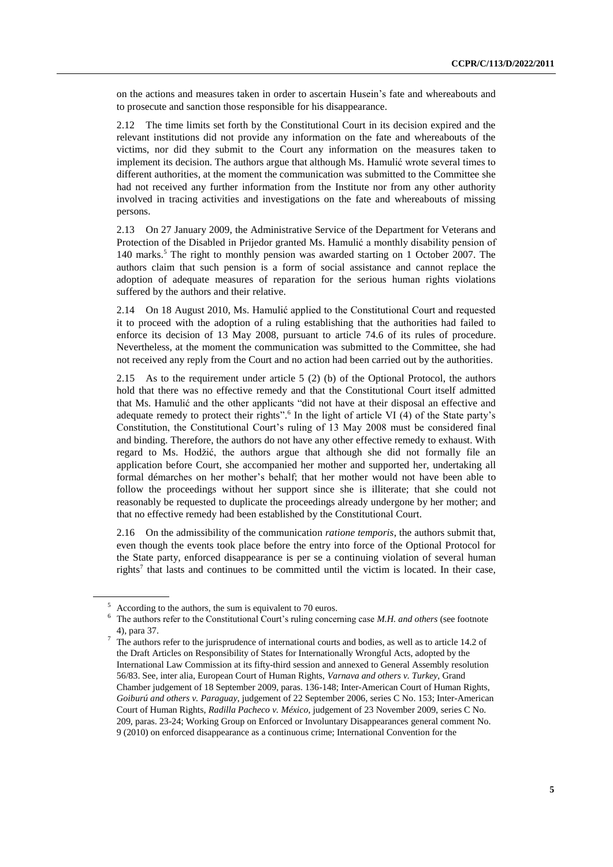on the actions and measures taken in order to ascertain Husein's fate and whereabouts and to prosecute and sanction those responsible for his disappearance.

2.12 The time limits set forth by the Constitutional Court in its decision expired and the relevant institutions did not provide any information on the fate and whereabouts of the victims, nor did they submit to the Court any information on the measures taken to implement its decision. The authors argue that although Ms. Hamulić wrote several times to different authorities, at the moment the communication was submitted to the Committee she had not received any further information from the Institute nor from any other authority involved in tracing activities and investigations on the fate and whereabouts of missing persons.

2.13 On 27 January 2009, the Administrative Service of the Department for Veterans and Protection of the Disabled in Prijedor granted Ms. Hamulić a monthly disability pension of 140 marks. <sup>5</sup> The right to monthly pension was awarded starting on 1 October 2007. The authors claim that such pension is a form of social assistance and cannot replace the adoption of adequate measures of reparation for the serious human rights violations suffered by the authors and their relative.

2.14 On 18 August 2010, Ms. Hamulić applied to the Constitutional Court and requested it to proceed with the adoption of a ruling establishing that the authorities had failed to enforce its decision of 13 May 2008, pursuant to article 74.6 of its rules of procedure. Nevertheless, at the moment the communication was submitted to the Committee, she had not received any reply from the Court and no action had been carried out by the authorities.

2.15 As to the requirement under article 5 (2) (b) of the Optional Protocol, the authors hold that there was no effective remedy and that the Constitutional Court itself admitted that Ms. Hamulić and the other applicants "did not have at their disposal an effective and adequate remedy to protect their rights".<sup>6</sup> In the light of article VI (4) of the State party's Constitution, the Constitutional Court's ruling of 13 May 2008 must be considered final and binding. Therefore, the authors do not have any other effective remedy to exhaust. With regard to Ms. Hodžić, the authors argue that although she did not formally file an application before Court, she accompanied her mother and supported her, undertaking all formal démarches on her mother's behalf; that her mother would not have been able to follow the proceedings without her support since she is illiterate; that she could not reasonably be requested to duplicate the proceedings already undergone by her mother; and that no effective remedy had been established by the Constitutional Court.

2.16 On the admissibility of the communication *ratione temporis*, the authors submit that, even though the events took place before the entry into force of the Optional Protocol for the State party, enforced disappearance is per se a continuing violation of several human rights<sup>7</sup> that lasts and continues to be committed until the victim is located. In their case,

According to the authors, the sum is equivalent to 70 euros.

<sup>6</sup> The authors refer to the Constitutional Court's ruling concerning case *M.H. and others* (see footnote [4\)](#page-3-0), para 37.

<sup>7</sup> The authors refer to the jurisprudence of international courts and bodies, as well as to article 14.2 of the Draft Articles on Responsibility of States for Internationally Wrongful Acts, adopted by the International Law Commission at its fifty-third session and annexed to General Assembly resolution 56/83. See, inter alia, European Court of Human Rights, *Varnava and others v. Turkey*, Grand Chamber judgement of 18 September 2009, paras. 136-148; Inter-American Court of Human Rights, *Goiburú and others v. Paraguay*, judgement of 22 September 2006, series C No. 153; Inter-American Court of Human Rights, *Radilla Pacheco v. México*, judgement of 23 November 2009, series C No. 209, paras. 23-24; Working Group on Enforced or Involuntary Disappearances general comment No. 9 (2010) on enforced disappearance as a continuous crime; International Convention for the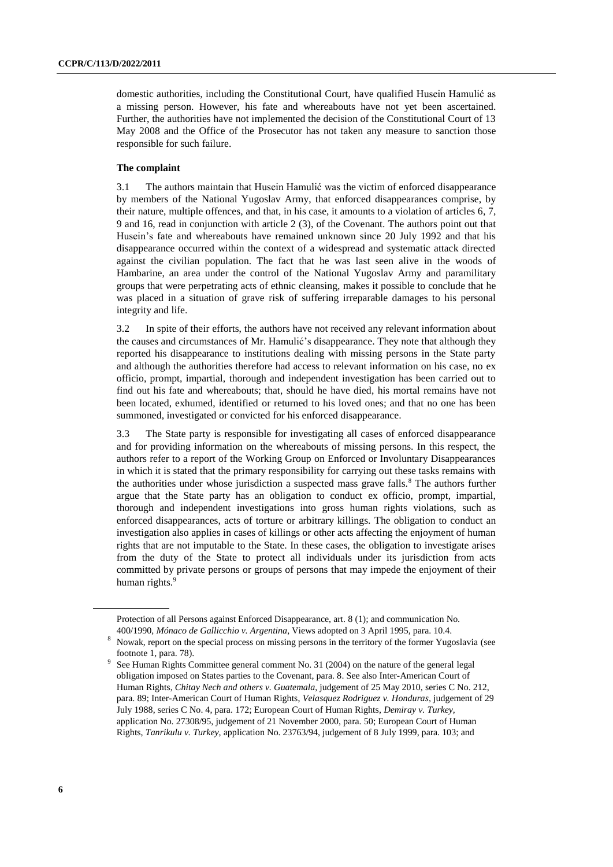domestic authorities, including the Constitutional Court, have qualified Husein Hamulić as a missing person. However, his fate and whereabouts have not yet been ascertained. Further, the authorities have not implemented the decision of the Constitutional Court of 13 May 2008 and the Office of the Prosecutor has not taken any measure to sanction those responsible for such failure.

### **The complaint**

3.1 The authors maintain that Husein Hamulić was the victim of enforced disappearance by members of the National Yugoslav Army, that enforced disappearances comprise, by their nature, multiple offences, and that, in his case, it amounts to a violation of articles 6, 7, 9 and 16, read in conjunction with article 2 (3), of the Covenant. The authors point out that Husein's fate and whereabouts have remained unknown since 20 July 1992 and that his disappearance occurred within the context of a widespread and systematic attack directed against the civilian population. The fact that he was last seen alive in the woods of Hambarine, an area under the control of the National Yugoslav Army and paramilitary groups that were perpetrating acts of ethnic cleansing, makes it possible to conclude that he was placed in a situation of grave risk of suffering irreparable damages to his personal integrity and life.

3.2 In spite of their efforts, the authors have not received any relevant information about the causes and circumstances of Mr. Hamulić's disappearance. They note that although they reported his disappearance to institutions dealing with missing persons in the State party and although the authorities therefore had access to relevant information on his case, no ex officio, prompt, impartial, thorough and independent investigation has been carried out to find out his fate and whereabouts; that, should he have died, his mortal remains have not been located, exhumed, identified or returned to his loved ones; and that no one has been summoned, investigated or convicted for his enforced disappearance.

3.3 The State party is responsible for investigating all cases of enforced disappearance and for providing information on the whereabouts of missing persons. In this respect, the authors refer to a report of the Working Group on Enforced or Involuntary Disappearances in which it is stated that the primary responsibility for carrying out these tasks remains with the authorities under whose jurisdiction a suspected mass grave falls.<sup>8</sup> The authors further argue that the State party has an obligation to conduct ex officio, prompt, impartial, thorough and independent investigations into gross human rights violations, such as enforced disappearances, acts of torture or arbitrary killings. The obligation to conduct an investigation also applies in cases of killings or other acts affecting the enjoyment of human rights that are not imputable to the State. In these cases, the obligation to investigate arises from the duty of the State to protect all individuals under its jurisdiction from acts committed by private persons or groups of persons that may impede the enjoyment of their human rights.<sup>9</sup>

Protection of all Persons against Enforced Disappearance, art. 8 (1); and communication No. 400/1990, *Mónaco de Gallicchio v. Argentina*, Views adopted on 3 April 1995, para. 10.4.

<sup>8</sup> Nowak, report on the special process on missing persons in the territory of the former Yugoslavia (see footnot[e 1,](#page-2-0) para. 78).

<sup>9</sup> See Human Rights Committee general comment No. 31 (2004) on the nature of the general legal obligation imposed on States parties to the Covenant, para. 8. See also Inter-American Court of Human Rights, *Chitay Nech and others v. Guatemala*, judgement of 25 May 2010, series C No. 212, para. 89; Inter-American Court of Human Rights, *Velasquez Rodriguez v. Honduras,* judgement of 29 July 1988, series C No. 4, para. 172; European Court of Human Rights, *Demiray v. Turkey,*  application No. 27308/95, judgement of 21 November 2000, para. 50; European Court of Human Rights, *Tanrikulu v. Turkey,* application No. 23763/94, judgement of 8 July 1999, para. 103; and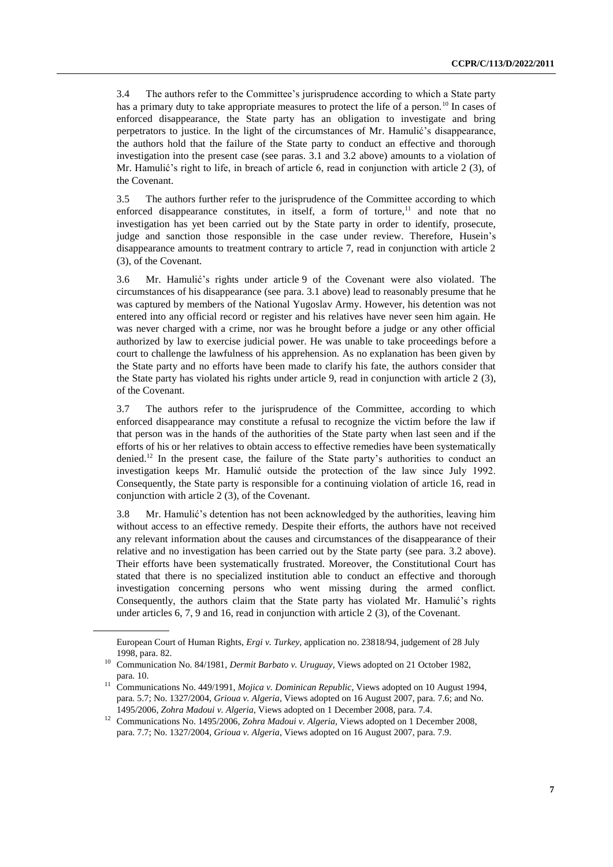3.4 The authors refer to the Committee's jurisprudence according to which a State party has a primary duty to take appropriate measures to protect the life of a person.<sup>10</sup> In cases of enforced disappearance, the State party has an obligation to investigate and bring perpetrators to justice. In the light of the circumstances of Mr. Hamulić's disappearance, the authors hold that the failure of the State party to conduct an effective and thorough investigation into the present case (see paras. 3.1 and 3.2 above) amounts to a violation of Mr. Hamulić's right to life, in breach of article 6, read in conjunction with article 2 (3), of the Covenant.

3.5 The authors further refer to the jurisprudence of the Committee according to which enforced disappearance constitutes, in itself, a form of torture, $\frac{11}{11}$  and note that no investigation has yet been carried out by the State party in order to identify, prosecute, judge and sanction those responsible in the case under review. Therefore, Husein's disappearance amounts to treatment contrary to article 7, read in conjunction with article 2 (3), of the Covenant.

3.6 Mr. Hamulić's rights under article 9 of the Covenant were also violated. The circumstances of his disappearance (see para. 3.1 above) lead to reasonably presume that he was captured by members of the National Yugoslav Army. However, his detention was not entered into any official record or register and his relatives have never seen him again. He was never charged with a crime, nor was he brought before a judge or any other official authorized by law to exercise judicial power. He was unable to take proceedings before a court to challenge the lawfulness of his apprehension. As no explanation has been given by the State party and no efforts have been made to clarify his fate, the authors consider that the State party has violated his rights under article 9, read in conjunction with article 2 (3), of the Covenant.

3.7 The authors refer to the jurisprudence of the Committee, according to which enforced disappearance may constitute a refusal to recognize the victim before the law if that person was in the hands of the authorities of the State party when last seen and if the efforts of his or her relatives to obtain access to effective remedies have been systematically denied.<sup>12</sup> In the present case, the failure of the State party's authorities to conduct an investigation keeps Mr. Hamulić outside the protection of the law since July 1992. Consequently, the State party is responsible for a continuing violation of article 16, read in conjunction with article 2 (3), of the Covenant.

3.8 Mr. Hamulić's detention has not been acknowledged by the authorities, leaving him without access to an effective remedy. Despite their efforts, the authors have not received any relevant information about the causes and circumstances of the disappearance of their relative and no investigation has been carried out by the State party (see para. 3.2 above). Their efforts have been systematically frustrated. Moreover, the Constitutional Court has stated that there is no specialized institution able to conduct an effective and thorough investigation concerning persons who went missing during the armed conflict. Consequently, the authors claim that the State party has violated Mr. Hamulić's rights under articles 6, 7, 9 and 16, read in conjunction with article 2 (3), of the Covenant.

European Court of Human Rights, *Ergi v. Turkey,* application no. 23818/94, judgement of 28 July 1998, para. 82.

<sup>10</sup> Communication No. 84/1981, *Dermit Barbato v. Uruguay*, Views adopted on 21 October 1982, para. 10.

<sup>11</sup> Communications No. 449/1991, *Mojica v. Dominican Republic*, Views adopted on 10 August 1994, para. 5.7; No. 1327/2004, *Grioua v. Algeria*, Views adopted on 16 August 2007, para. 7.6; and No. 1495/2006, *Zohra Madoui v. Algeria*, Views adopted on 1 December 2008, para. 7.4.

<sup>12</sup> Communications No. 1495/2006, *Zohra Madoui v. Algeria,* Views adopted on 1 December 2008, para. 7.7; No. 1327/2004, *Grioua v. Algeria*, Views adopted on 16 August 2007, para. 7.9.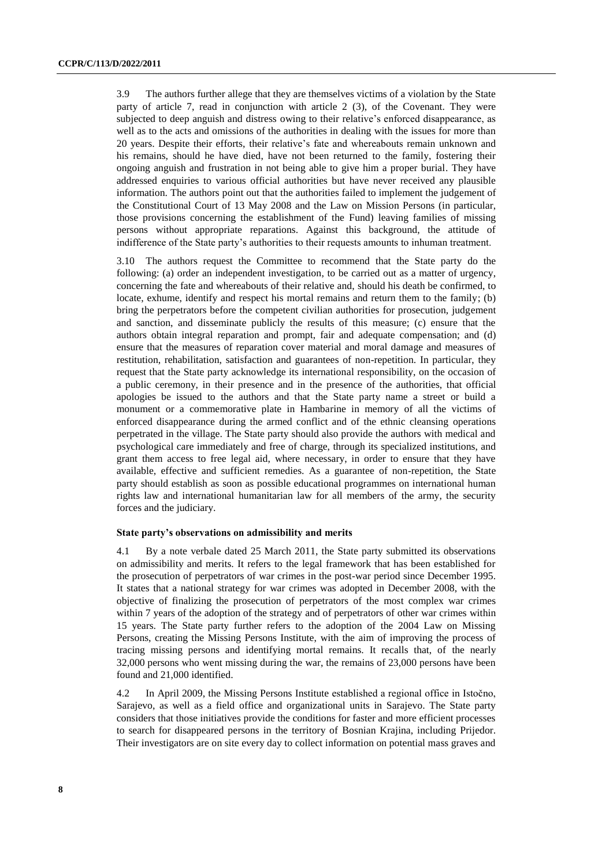3.9 The authors further allege that they are themselves victims of a violation by the State party of article 7, read in conjunction with article 2 (3), of the Covenant. They were subjected to deep anguish and distress owing to their relative's enforced disappearance, as well as to the acts and omissions of the authorities in dealing with the issues for more than 20 years. Despite their efforts, their relative's fate and whereabouts remain unknown and his remains, should he have died, have not been returned to the family, fostering their ongoing anguish and frustration in not being able to give him a proper burial. They have addressed enquiries to various official authorities but have never received any plausible information. The authors point out that the authorities failed to implement the judgement of the Constitutional Court of 13 May 2008 and the Law on Mission Persons (in particular, those provisions concerning the establishment of the Fund) leaving families of missing persons without appropriate reparations. Against this background, the attitude of indifference of the State party's authorities to their requests amounts to inhuman treatment.

3.10 The authors request the Committee to recommend that the State party do the following: (a) order an independent investigation, to be carried out as a matter of urgency, concerning the fate and whereabouts of their relative and, should his death be confirmed, to locate, exhume, identify and respect his mortal remains and return them to the family; (b) bring the perpetrators before the competent civilian authorities for prosecution, judgement and sanction, and disseminate publicly the results of this measure; (c) ensure that the authors obtain integral reparation and prompt, fair and adequate compensation; and (d) ensure that the measures of reparation cover material and moral damage and measures of restitution, rehabilitation, satisfaction and guarantees of non-repetition. In particular, they request that the State party acknowledge its international responsibility, on the occasion of a public ceremony, in their presence and in the presence of the authorities, that official apologies be issued to the authors and that the State party name a street or build a monument or a commemorative plate in Hambarine in memory of all the victims of enforced disappearance during the armed conflict and of the ethnic cleansing operations perpetrated in the village. The State party should also provide the authors with medical and psychological care immediately and free of charge, through its specialized institutions, and grant them access to free legal aid, where necessary, in order to ensure that they have available, effective and sufficient remedies. As a guarantee of non-repetition, the State party should establish as soon as possible educational programmes on international human rights law and international humanitarian law for all members of the army, the security forces and the judiciary.

#### **State party's observations on admissibility and merits**

4.1 By a note verbale dated 25 March 2011, the State party submitted its observations on admissibility and merits. It refers to the legal framework that has been established for the prosecution of perpetrators of war crimes in the post-war period since December 1995. It states that a national strategy for war crimes was adopted in December 2008, with the objective of finalizing the prosecution of perpetrators of the most complex war crimes within 7 years of the adoption of the strategy and of perpetrators of other war crimes within 15 years. The State party further refers to the adoption of the 2004 Law on Missing Persons, creating the Missing Persons Institute, with the aim of improving the process of tracing missing persons and identifying mortal remains. It recalls that, of the nearly 32,000 persons who went missing during the war, the remains of 23,000 persons have been found and 21,000 identified.

4.2 In April 2009, the Missing Persons Institute established a regional office in Istočno, Sarajevo, as well as a field office and organizational units in Sarajevo. The State party considers that those initiatives provide the conditions for faster and more efficient processes to search for disappeared persons in the territory of Bosnian Krajina, including Prijedor. Their investigators are on site every day to collect information on potential mass graves and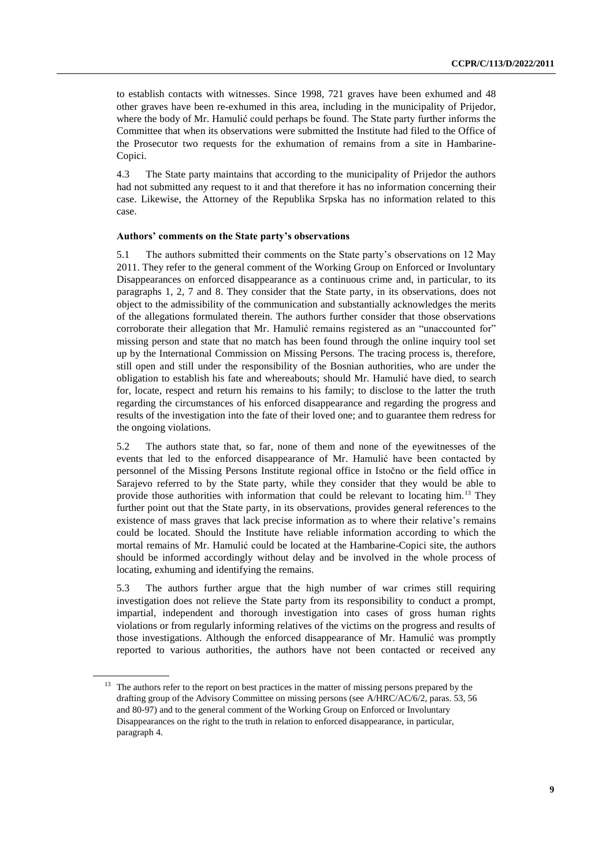to establish contacts with witnesses. Since 1998, 721 graves have been exhumed and 48 other graves have been re-exhumed in this area, including in the municipality of Prijedor, where the body of Mr. Hamulić could perhaps be found. The State party further informs the Committee that when its observations were submitted the Institute had filed to the Office of the Prosecutor two requests for the exhumation of remains from a site in Hambarine-Copici.

4.3 The State party maintains that according to the municipality of Prijedor the authors had not submitted any request to it and that therefore it has no information concerning their case. Likewise, the Attorney of the Republika Srpska has no information related to this case.

#### **Authors' comments on the State party's observations**

5.1 The authors submitted their comments on the State party's observations on 12 May 2011. They refer to the general comment of the Working Group on Enforced or Involuntary Disappearances on enforced disappearance as a continuous crime and, in particular, to its paragraphs 1, 2, 7 and 8. They consider that the State party, in its observations, does not object to the admissibility of the communication and substantially acknowledges the merits of the allegations formulated therein. The authors further consider that those observations corroborate their allegation that Mr. Hamulić remains registered as an "unaccounted for" missing person and state that no match has been found through the online inquiry tool set up by the International Commission on Missing Persons. The tracing process is, therefore, still open and still under the responsibility of the Bosnian authorities, who are under the obligation to establish his fate and whereabouts; should Mr. Hamulić have died, to search for, locate, respect and return his remains to his family; to disclose to the latter the truth regarding the circumstances of his enforced disappearance and regarding the progress and results of the investigation into the fate of their loved one; and to guarantee them redress for the ongoing violations.

5.2 The authors state that, so far, none of them and none of the eyewitnesses of the events that led to the enforced disappearance of Mr. Hamulić have been contacted by personnel of the Missing Persons Institute regional office in Istočno or the field office in Sarajevo referred to by the State party, while they consider that they would be able to provide those authorities with information that could be relevant to locating him.<sup>13</sup> They further point out that the State party, in its observations, provides general references to the existence of mass graves that lack precise information as to where their relative's remains could be located. Should the Institute have reliable information according to which the mortal remains of Mr. Hamulić could be located at the Hambarine-Copici site, the authors should be informed accordingly without delay and be involved in the whole process of locating, exhuming and identifying the remains.

5.3 The authors further argue that the high number of war crimes still requiring investigation does not relieve the State party from its responsibility to conduct a prompt, impartial, independent and thorough investigation into cases of gross human rights violations or from regularly informing relatives of the victims on the progress and results of those investigations. Although the enforced disappearance of Mr. Hamulić was promptly reported to various authorities, the authors have not been contacted or received any

<sup>&</sup>lt;sup>13</sup> The authors refer to the report on best practices in the matter of missing persons prepared by the drafting group of the Advisory Committee on missing persons (see A/HRC/AC/6/2, paras. 53, 56 and 80-97) and to the general comment of the Working Group on Enforced or Involuntary Disappearances on the right to the truth in relation to enforced disappearance, in particular, paragraph 4.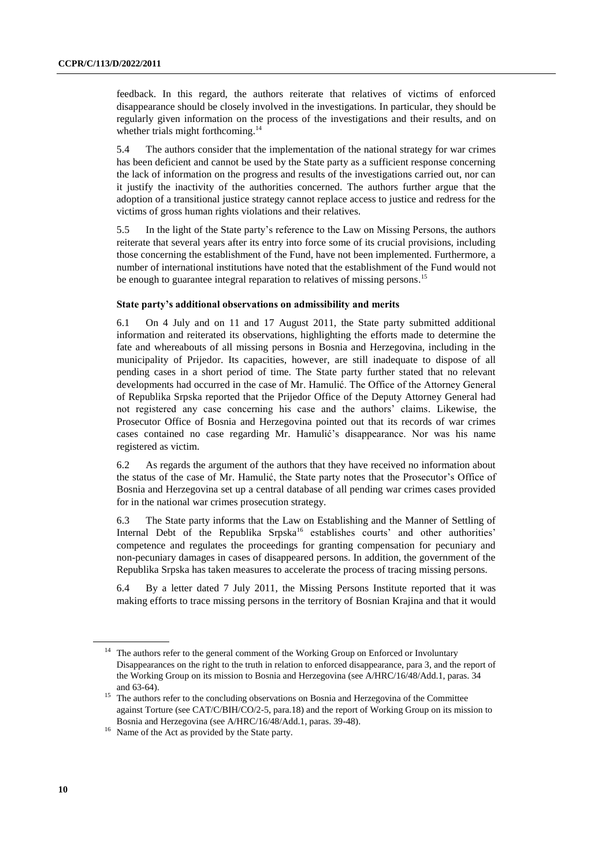feedback. In this regard, the authors reiterate that relatives of victims of enforced disappearance should be closely involved in the investigations. In particular, they should be regularly given information on the process of the investigations and their results, and on whether trials might forthcoming.<sup>14</sup>

5.4 The authors consider that the implementation of the national strategy for war crimes has been deficient and cannot be used by the State party as a sufficient response concerning the lack of information on the progress and results of the investigations carried out, nor can it justify the inactivity of the authorities concerned. The authors further argue that the adoption of a transitional justice strategy cannot replace access to justice and redress for the victims of gross human rights violations and their relatives.

5.5 In the light of the State party's reference to the Law on Missing Persons, the authors reiterate that several years after its entry into force some of its crucial provisions, including those concerning the establishment of the Fund, have not been implemented. Furthermore, a number of international institutions have noted that the establishment of the Fund would not be enough to guarantee integral reparation to relatives of missing persons.<sup>15</sup>

#### **State party's additional observations on admissibility and merits**

6.1 On 4 July and on 11 and 17 August 2011, the State party submitted additional information and reiterated its observations, highlighting the efforts made to determine the fate and whereabouts of all missing persons in Bosnia and Herzegovina, including in the municipality of Prijedor. Its capacities, however, are still inadequate to dispose of all pending cases in a short period of time. The State party further stated that no relevant developments had occurred in the case of Mr. Hamulić. The Office of the Attorney General of Republika Srpska reported that the Prijedor Office of the Deputy Attorney General had not registered any case concerning his case and the authors' claims. Likewise, the Prosecutor Office of Bosnia and Herzegovina pointed out that its records of war crimes cases contained no case regarding Mr. Hamulić's disappearance. Nor was his name registered as victim.

6.2 As regards the argument of the authors that they have received no information about the status of the case of Mr. Hamulić, the State party notes that the Prosecutor's Office of Bosnia and Herzegovina set up a central database of all pending war crimes cases provided for in the national war crimes prosecution strategy.

6.3 The State party informs that the Law on Establishing and the Manner of Settling of Internal Debt of the Republika Srpska<sup>16</sup> establishes courts' and other authorities' competence and regulates the proceedings for granting compensation for pecuniary and non-pecuniary damages in cases of disappeared persons. In addition, the government of the Republika Srpska has taken measures to accelerate the process of tracing missing persons.

6.4 By a letter dated 7 July 2011, the Missing Persons Institute reported that it was making efforts to trace missing persons in the territory of Bosnian Krajina and that it would

<sup>&</sup>lt;sup>14</sup> The authors refer to the general comment of the Working Group on Enforced or Involuntary Disappearances on the right to the truth in relation to enforced disappearance, para 3, and the report of the Working Group on its mission to Bosnia and Herzegovina (see A/HRC/16/48/Add.1, paras. 34 and 63-64).

<sup>&</sup>lt;sup>15</sup> The authors refer to the concluding observations on Bosnia and Herzegovina of the Committee against Torture (see CAT/C/BIH/CO/2-5, para.18) and the report of Working Group on its mission to Bosnia and Herzegovina (see A/HRC/16/48/Add.1, paras. 39-48).

<sup>&</sup>lt;sup>16</sup> Name of the Act as provided by the State party.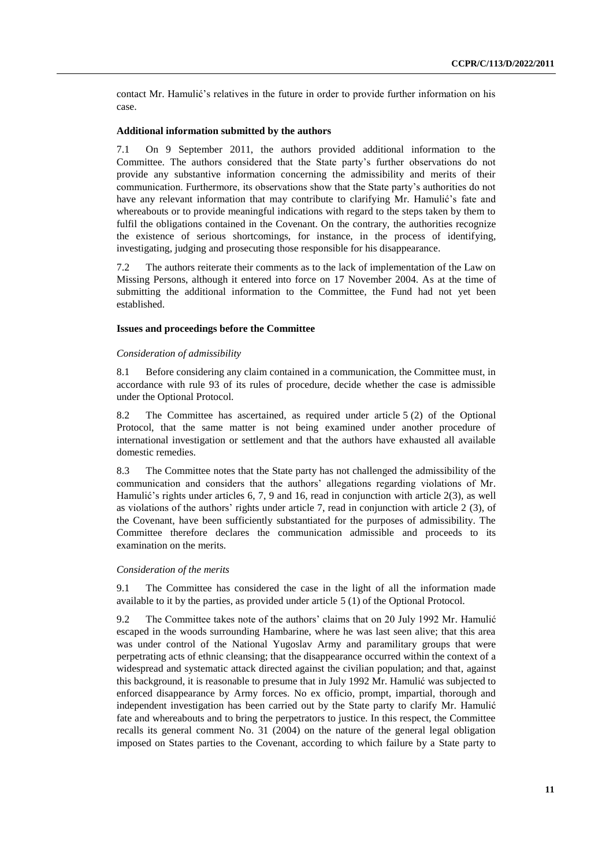contact Mr. Hamulić's relatives in the future in order to provide further information on his case.

### **Additional information submitted by the authors**

7.1 On 9 September 2011, the authors provided additional information to the Committee. The authors considered that the State party's further observations do not provide any substantive information concerning the admissibility and merits of their communication. Furthermore, its observations show that the State party's authorities do not have any relevant information that may contribute to clarifying Mr. Hamulić's fate and whereabouts or to provide meaningful indications with regard to the steps taken by them to fulfil the obligations contained in the Covenant. On the contrary, the authorities recognize the existence of serious shortcomings, for instance, in the process of identifying, investigating, judging and prosecuting those responsible for his disappearance.

7.2 The authors reiterate their comments as to the lack of implementation of the Law on Missing Persons, although it entered into force on 17 November 2004. As at the time of submitting the additional information to the Committee, the Fund had not yet been established.

#### **Issues and proceedings before the Committee**

#### *Consideration of admissibility*

8.1 Before considering any claim contained in a communication, the Committee must, in accordance with rule 93 of its rules of procedure, decide whether the case is admissible under the Optional Protocol.

8.2 The Committee has ascertained, as required under article 5 (2) of the Optional Protocol, that the same matter is not being examined under another procedure of international investigation or settlement and that the authors have exhausted all available domestic remedies.

8.3 The Committee notes that the State party has not challenged the admissibility of the communication and considers that the authors' allegations regarding violations of Mr. Hamulić's rights under articles 6, 7, 9 and 16, read in conjunction with article 2(3), as well as violations of the authors' rights under article 7, read in conjunction with article 2 (3), of the Covenant, have been sufficiently substantiated for the purposes of admissibility. The Committee therefore declares the communication admissible and proceeds to its examination on the merits.

#### *Consideration of the merits*

9.1 The Committee has considered the case in the light of all the information made available to it by the parties, as provided under article 5 (1) of the Optional Protocol.

9.2 The Committee takes note of the authors' claims that on 20 July 1992 Mr. Hamulić escaped in the woods surrounding Hambarine, where he was last seen alive; that this area was under control of the National Yugoslav Army and paramilitary groups that were perpetrating acts of ethnic cleansing; that the disappearance occurred within the context of a widespread and systematic attack directed against the civilian population; and that, against this background, it is reasonable to presume that in July 1992 Mr. Hamulić was subjected to enforced disappearance by Army forces. No ex officio, prompt, impartial, thorough and independent investigation has been carried out by the State party to clarify Mr. Hamulić fate and whereabouts and to bring the perpetrators to justice. In this respect, the Committee recalls its general comment No. 31 (2004) on the nature of the general legal obligation imposed on States parties to the Covenant, according to which failure by a State party to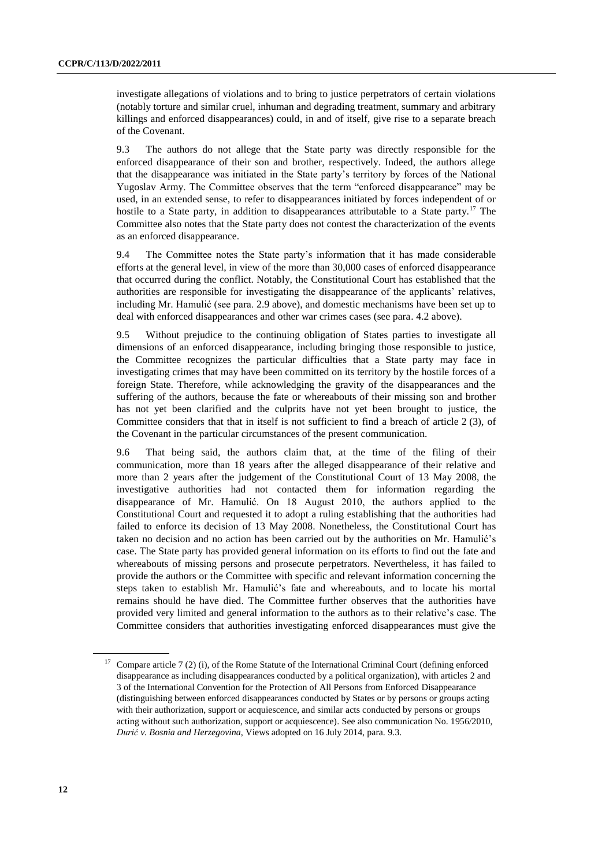investigate allegations of violations and to bring to justice perpetrators of certain violations (notably torture and similar cruel, inhuman and degrading treatment, summary and arbitrary killings and enforced disappearances) could, in and of itself, give rise to a separate breach of the Covenant.

9.3 The authors do not allege that the State party was directly responsible for the enforced disappearance of their son and brother, respectively. Indeed, the authors allege that the disappearance was initiated in the State party's territory by forces of the National Yugoslav Army. The Committee observes that the term "enforced disappearance" may be used, in an extended sense, to refer to disappearances initiated by forces independent of or hostile to a State party, in addition to disappearances attributable to a State party.<sup>17</sup> The Committee also notes that the State party does not contest the characterization of the events as an enforced disappearance.

9.4 The Committee notes the State party's information that it has made considerable efforts at the general level, in view of the more than 30,000 cases of enforced disappearance that occurred during the conflict. Notably, the Constitutional Court has established that the authorities are responsible for investigating the disappearance of the applicants' relatives, including Mr. Hamulić (see para. 2.9 above), and domestic mechanisms have been set up to deal with enforced disappearances and other war crimes cases (see para. 4.2 above).

9.5 Without prejudice to the continuing obligation of States parties to investigate all dimensions of an enforced disappearance, including bringing those responsible to justice, the Committee recognizes the particular difficulties that a State party may face in investigating crimes that may have been committed on its territory by the hostile forces of a foreign State. Therefore, while acknowledging the gravity of the disappearances and the suffering of the authors, because the fate or whereabouts of their missing son and brother has not yet been clarified and the culprits have not yet been brought to justice, the Committee considers that that in itself is not sufficient to find a breach of article 2 (3), of the Covenant in the particular circumstances of the present communication.

9.6 That being said, the authors claim that, at the time of the filing of their communication, more than 18 years after the alleged disappearance of their relative and more than 2 years after the judgement of the Constitutional Court of 13 May 2008, the investigative authorities had not contacted them for information regarding the disappearance of Mr. Hamulić. On 18 August 2010, the authors applied to the Constitutional Court and requested it to adopt a ruling establishing that the authorities had failed to enforce its decision of 13 May 2008. Nonetheless, the Constitutional Court has taken no decision and no action has been carried out by the authorities on Mr. Hamulić's case. The State party has provided general information on its efforts to find out the fate and whereabouts of missing persons and prosecute perpetrators. Nevertheless, it has failed to provide the authors or the Committee with specific and relevant information concerning the steps taken to establish Mr. Hamulić's fate and whereabouts, and to locate his mortal remains should he have died. The Committee further observes that the authorities have provided very limited and general information to the authors as to their relative's case. The Committee considers that authorities investigating enforced disappearances must give the

<sup>&</sup>lt;sup>17</sup> Compare article 7 (2) (i), of the Rome Statute of the International Criminal Court (defining enforced disappearance as including disappearances conducted by a political organization), with articles 2 and 3 of the International Convention for the Protection of All Persons from Enforced Disappearance (distinguishing between enforced disappearances conducted by States or by persons or groups acting with their authorization, support or acquiescence, and similar acts conducted by persons or groups acting without such authorization, support or acquiescence). See also communication No. 1956/2010, *Durić v. Bosnia and Herzegovina*, Views adopted on 16 July 2014, para. 9.3.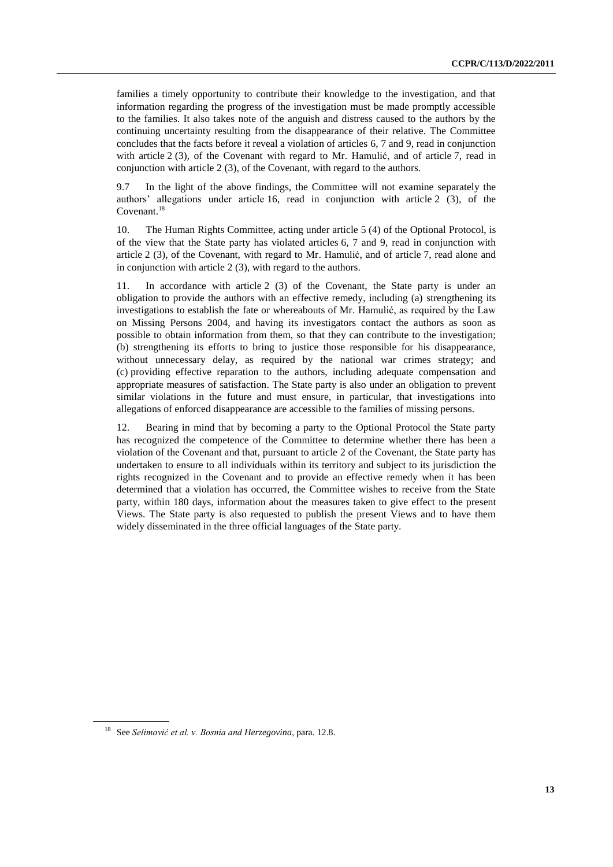families a timely opportunity to contribute their knowledge to the investigation, and that information regarding the progress of the investigation must be made promptly accessible to the families. It also takes note of the anguish and distress caused to the authors by the continuing uncertainty resulting from the disappearance of their relative. The Committee concludes that the facts before it reveal a violation of articles 6, 7 and 9, read in conjunction with article 2 (3), of the Covenant with regard to Mr. Hamulić, and of article 7, read in conjunction with article 2 (3), of the Covenant, with regard to the authors.

9.7 In the light of the above findings, the Committee will not examine separately the authors' allegations under article 16, read in conjunction with article 2 (3), of the Covenant.<sup>18</sup>

10. The Human Rights Committee, acting under article 5 (4) of the Optional Protocol, is of the view that the State party has violated articles 6, 7 and 9, read in conjunction with article 2 (3), of the Covenant, with regard to Mr. Hamulić, and of article 7, read alone and in conjunction with article 2 (3), with regard to the authors.

11. In accordance with article 2 (3) of the Covenant, the State party is under an obligation to provide the authors with an effective remedy, including (a) strengthening its investigations to establish the fate or whereabouts of Mr. Hamulić, as required by the Law on Missing Persons 2004, and having its investigators contact the authors as soon as possible to obtain information from them, so that they can contribute to the investigation; (b) strengthening its efforts to bring to justice those responsible for his disappearance, without unnecessary delay, as required by the national war crimes strategy; and (c) providing effective reparation to the authors, including adequate compensation and appropriate measures of satisfaction. The State party is also under an obligation to prevent similar violations in the future and must ensure, in particular, that investigations into allegations of enforced disappearance are accessible to the families of missing persons.

12. Bearing in mind that by becoming a party to the Optional Protocol the State party has recognized the competence of the Committee to determine whether there has been a violation of the Covenant and that, pursuant to article 2 of the Covenant, the State party has undertaken to ensure to all individuals within its territory and subject to its jurisdiction the rights recognized in the Covenant and to provide an effective remedy when it has been determined that a violation has occurred, the Committee wishes to receive from the State party, within 180 days, information about the measures taken to give effect to the present Views. The State party is also requested to publish the present Views and to have them widely disseminated in the three official languages of the State party.

<sup>18</sup> See *Selimović et al. v. Bosnia and Herzegovina*, para. 12.8.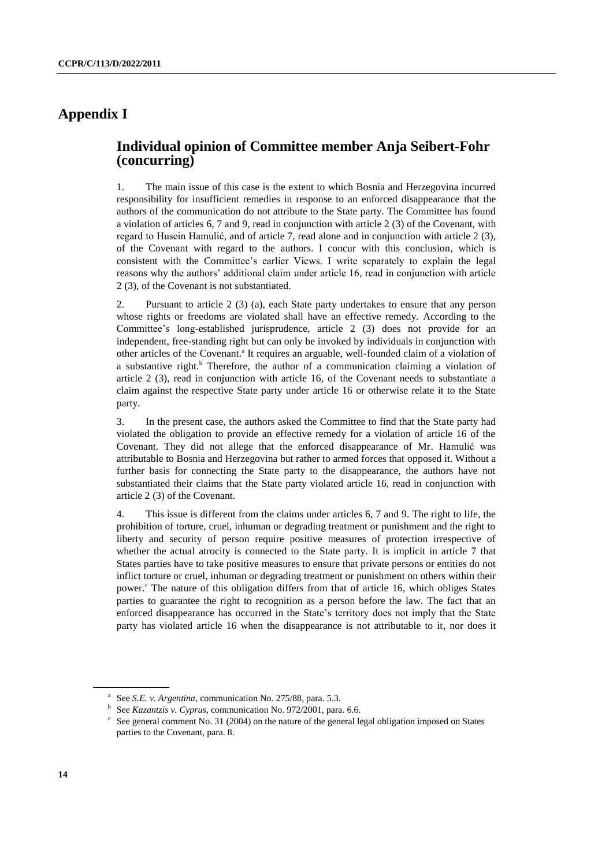## **Appendix I**

### **Individual opinion of Committee member Anja Seibert-Fohr (concurring)**

1. The main issue of this case is the extent to which Bosnia and Herzegovina incurred responsibility for insufficient remedies in response to an enforced disappearance that the authors of the communication do not attribute to the State party. The Committee has found a violation of articles 6, 7 and 9, read in conjunction with article 2 (3) of the Covenant, with regard to Husein Hamulić, and of article 7, read alone and in conjunction with article 2 (3), of the Covenant with regard to the authors. I concur with this conclusion, which is consistent with the Committee's earlier Views. I write separately to explain the legal reasons why the authors' additional claim under article 16, read in conjunction with article 2 (3), of the Covenant is not substantiated.

2. Pursuant to article 2 (3) (a), each State party undertakes to ensure that any person whose rights or freedoms are violated shall have an effective remedy. According to the Committee's long-established jurisprudence, article 2 (3) does not provide for an independent, free-standing right but can only be invoked by individuals in conjunction with other articles of the Covenant.<sup>a</sup> It requires an arguable, well-founded claim of a violation of a substantive right. $b$  Therefore, the author of a communication claiming a violation of article 2 (3), read in conjunction with article 16, of the Covenant needs to substantiate a claim against the respective State party under article 16 or otherwise relate it to the State party.

3. In the present case, the authors asked the Committee to find that the State party had violated the obligation to provide an effective remedy for a violation of article 16 of the Covenant. They did not allege that the enforced disappearance of Mr. Hamulić was attributable to Bosnia and Herzegovina but rather to armed forces that opposed it. Without a further basis for connecting the State party to the disappearance, the authors have not substantiated their claims that the State party violated article 16, read in conjunction with article 2 (3) of the Covenant.

4. This issue is different from the claims under articles 6, 7 and 9. The right to life, the prohibition of torture, cruel, inhuman or degrading treatment or punishment and the right to liberty and security of person require positive measures of protection irrespective of whether the actual atrocity is connected to the State party. It is implicit in article 7 that States parties have to take positive measures to ensure that private persons or entities do not inflict torture or cruel, inhuman or degrading treatment or punishment on others within their power. $\epsilon$  The nature of this obligation differs from that of article 16, which obliges States parties to guarantee the right to recognition as a person before the law. The fact that an enforced disappearance has occurred in the State's territory does not imply that the State party has violated article 16 when the disappearance is not attributable to it, nor does it

<sup>&</sup>lt;sup>a</sup> See *S.E. v. Argentina*, communication No. 275/88, para. 5.3.

b See *Kazantzis v. Cyprus*, communication No. 972/2001, para. 6.6.

 $c$  See general comment No. 31 (2004) on the nature of the general legal obligation imposed on States parties to the Covenant, para. 8.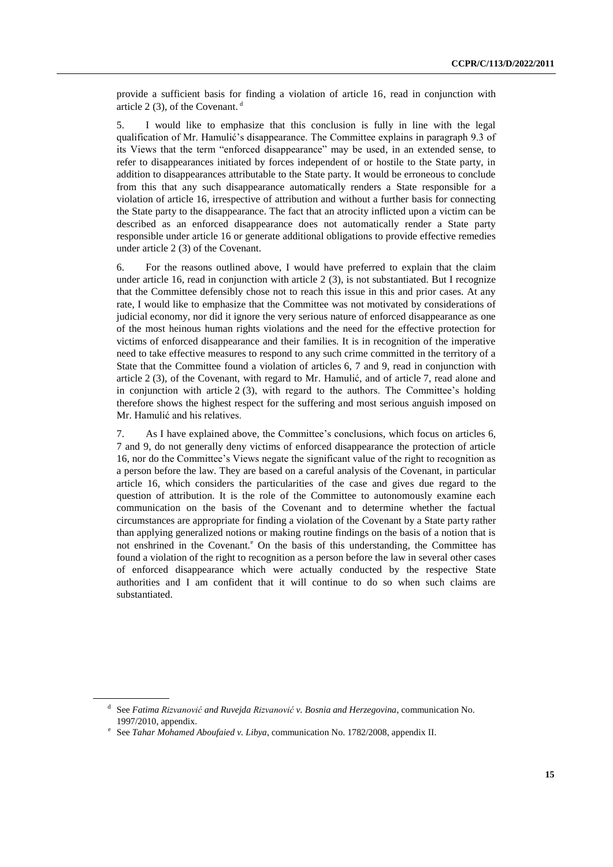provide a sufficient basis for finding a violation of article 16, read in conjunction with article 2 (3), of the Covenant.  $d$ 

5. I would like to emphasize that this conclusion is fully in line with the legal qualification of Mr. Hamulić's disappearance. The Committee explains in paragraph 9.3 of its Views that the term "enforced disappearance" may be used, in an extended sense, to refer to disappearances initiated by forces independent of or hostile to the State party, in addition to disappearances attributable to the State party. It would be erroneous to conclude from this that any such disappearance automatically renders a State responsible for a violation of article 16, irrespective of attribution and without a further basis for connecting the State party to the disappearance. The fact that an atrocity inflicted upon a victim can be described as an enforced disappearance does not automatically render a State party responsible under article 16 or generate additional obligations to provide effective remedies under article 2 (3) of the Covenant.

6. For the reasons outlined above, I would have preferred to explain that the claim under article 16, read in conjunction with article 2 (3), is not substantiated. But I recognize that the Committee defensibly chose not to reach this issue in this and prior cases. At any rate, I would like to emphasize that the Committee was not motivated by considerations of judicial economy, nor did it ignore the very serious nature of enforced disappearance as one of the most heinous human rights violations and the need for the effective protection for victims of enforced disappearance and their families. It is in recognition of the imperative need to take effective measures to respond to any such crime committed in the territory of a State that the Committee found a violation of articles 6, 7 and 9, read in conjunction with article 2 (3), of the Covenant, with regard to Mr. Hamulić, and of article 7, read alone and in conjunction with article  $2(3)$ , with regard to the authors. The Committee's holding therefore shows the highest respect for the suffering and most serious anguish imposed on Mr. Hamulić and his relatives.

7. As I have explained above, the Committee's conclusions, which focus on articles 6, 7 and 9, do not generally deny victims of enforced disappearance the protection of article 16, nor do the Committee's Views negate the significant value of the right to recognition as a person before the law. They are based on a careful analysis of the Covenant, in particular article 16, which considers the particularities of the case and gives due regard to the question of attribution. It is the role of the Committee to autonomously examine each communication on the basis of the Covenant and to determine whether the factual circumstances are appropriate for finding a violation of the Covenant by a State party rather than applying generalized notions or making routine findings on the basis of a notion that is not enshrined in the Covenant.<sup>e</sup> On the basis of this understanding, the Committee has found a violation of the right to recognition as a person before the law in several other cases of enforced disappearance which were actually conducted by the respective State authorities and I am confident that it will continue to do so when such claims are substantiated.

d See *Fatima Rizvanović and Ruvejda Rizvanović v. Bosnia and Herzegovina*, communication No. 1997/2010, appendix.

e See *Tahar Mohamed Aboufaied v. Libya*, communication No. 1782/2008, appendix II.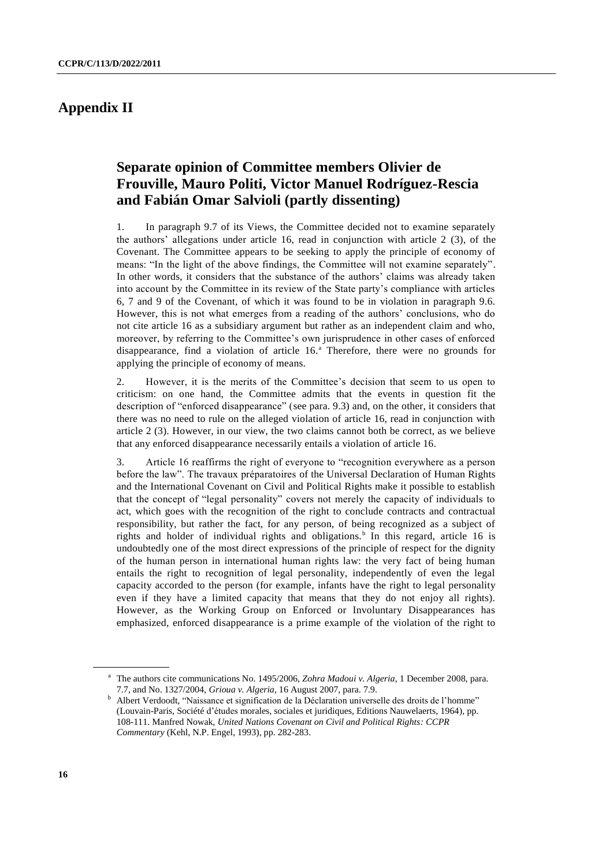# **Appendix II**

# **Separate opinion of Committee members Olivier de Frouville, Mauro Politi, Victor Manuel Rodríguez-Rescia and Fabián Omar Salvioli (partly dissenting)**

1. In paragraph 9.7 of its Views, the Committee decided not to examine separately the authors' allegations under article 16, read in conjunction with article 2 (3), of the Covenant. The Committee appears to be seeking to apply the principle of economy of means: "In the light of the above findings, the Committee will not examine separately". In other words, it considers that the substance of the authors' claims was already taken into account by the Committee in its review of the State party's compliance with articles 6, 7 and 9 of the Covenant, of which it was found to be in violation in paragraph 9.6. However, this is not what emerges from a reading of the authors' conclusions, who do not cite article 16 as a subsidiary argument but rather as an independent claim and who, moreover, by referring to the Committee's own jurisprudence in other cases of enforced disappearance, find a violation of article 16.<sup>a</sup> Therefore, there were no grounds for applying the principle of economy of means.

2. However, it is the merits of the Committee's decision that seem to us open to criticism: on one hand, the Committee admits that the events in question fit the description of "enforced disappearance" (see para. 9.3) and, on the other, it considers that there was no need to rule on the alleged violation of article 16, read in conjunction with article 2 (3). However, in our view, the two claims cannot both be correct, as we believe that any enforced disappearance necessarily entails a violation of article 16.

3. Article 16 reaffirms the right of everyone to "recognition everywhere as a person before the law". The travaux préparatoires of the Universal Declaration of Human Rights and the International Covenant on Civil and Political Rights make it possible to establish that the concept of "legal personality" covers not merely the capacity of individuals to act, which goes with the recognition of the right to conclude contracts and contractual responsibility, but rather the fact, for any person, of being recognized as a subject of rights and holder of individual rights and obligations.<sup>b</sup> In this regard, article 16 is undoubtedly one of the most direct expressions of the principle of respect for the dignity of the human person in international human rights law: the very fact of being human entails the right to recognition of legal personality, independently of even the legal capacity accorded to the person (for example, infants have the right to legal personality even if they have a limited capacity that means that they do not enjoy all rights). However, as the Working Group on Enforced or Involuntary Disappearances has emphasized, enforced disappearance is a prime example of the violation of the right to

<sup>a</sup> The authors cite communications No. 1495/2006, *Zohra Madoui v. Algeria*, 1 December 2008, para. 7.7, and No. 1327/2004, *Grioua v. Algeria*, 16 August 2007, para. 7.9.

<sup>&</sup>lt;sup>b</sup> Albert Verdoodt, "Naissance et signification de la Déclaration universelle des droits de l'homme" (Louvain-Paris, Société d'études morales, sociales et juridiques, Editions Nauwelaerts, 1964), pp. 108-111. Manfred Nowak, *United Nations Covenant on Civil and Political Rights: CCPR Commentary* (Kehl, N.P. Engel, 1993), pp. 282-283.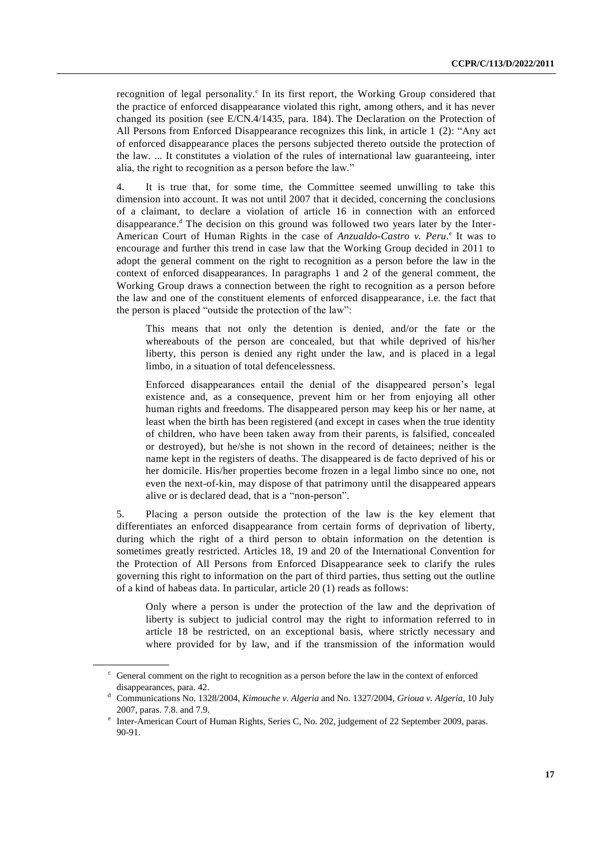recognition of legal personality.<sup>c</sup> In its first report, the Working Group considered that the practice of enforced disappearance violated this right, among others, and it has never changed its position (see E/CN.4/1435, para. 184). The Declaration on the Protection of All Persons from Enforced Disappearance recognizes this link, in article 1 (2): "Any act of enforced disappearance places the persons subjected thereto outside the protection of the law. ... It constitutes a violation of the rules of international law guaranteeing, inter alia, the right to recognition as a person before the law."

4. It is true that, for some time, the Committee seemed unwilling to take this dimension into account. It was not until 2007 that it decided, concerning the conclusions of a claimant, to declare a violation of article 16 in connection with an enforced disappearance.<sup>d</sup> The decision on this ground was followed two years later by the Inter-American Court of Human Rights in the case of *Anzualdo-Castro v. Peru*.<sup>e</sup> It was to encourage and further this trend in case law that the Working Group decided in 2011 to adopt the general comment on the right to recognition as a person before the law in the context of enforced disappearances. In paragraphs 1 and 2 of the general comment, the Working Group draws a connection between the right to recognition as a person before the law and one of the constituent elements of enforced disappearance, i.e. the fact that the person is placed "outside the protection of the law":

This means that not only the detention is denied, and/or the fate or the whereabouts of the person are concealed, but that while deprived of his/her liberty, this person is denied any right under the law, and is placed in a legal limbo, in a situation of total defencelessness.

Enforced disappearances entail the denial of the disappeared person's legal existence and, as a consequence, prevent him or her from enjoying all other human rights and freedoms. The disappeared person may keep his or her name, at least when the birth has been registered (and except in cases when the true identity of children, who have been taken away from their parents, is falsified, concealed or destroyed), but he/she is not shown in the record of detainees; neither is the name kept in the registers of deaths. The disappeared is de facto deprived of his or her domicile. His/her properties become frozen in a legal limbo since no one, not even the next-of-kin, may dispose of that patrimony until the disappeared appears alive or is declared dead, that is a "non-person".

5. Placing a person outside the protection of the law is the key element that differentiates an enforced disappearance from certain forms of deprivation of liberty, during which the right of a third person to obtain information on the detention is sometimes greatly restricted. Articles 18, 19 and 20 of the International Convention for the Protection of All Persons from Enforced Disappearance seek to clarify the rules governing this right to information on the part of third parties, thus setting out the outline of a kind of habeas data. In particular, article 20 (1) reads as follows:

Only where a person is under the protection of the law and the deprivation of liberty is subject to judicial control may the right to information referred to in article 18 be restricted, on an exceptional basis, where strictly necessary and where provided for by law, and if the transmission of the information would

 $c$  General comment on the right to recognition as a person before the law in the context of enforced disappearances, para. 42.

<sup>d</sup> Communications No. 1328/2004, *Kimouche v. Algeria* and No. 1327/2004, *Grioua v. Algeria*, 10 July 2007, paras. 7.8. and 7.9.

<sup>&</sup>lt;sup>e</sup> Inter-American Court of Human Rights, Series C, No. 202, judgement of 22 September 2009, paras. 90-91.